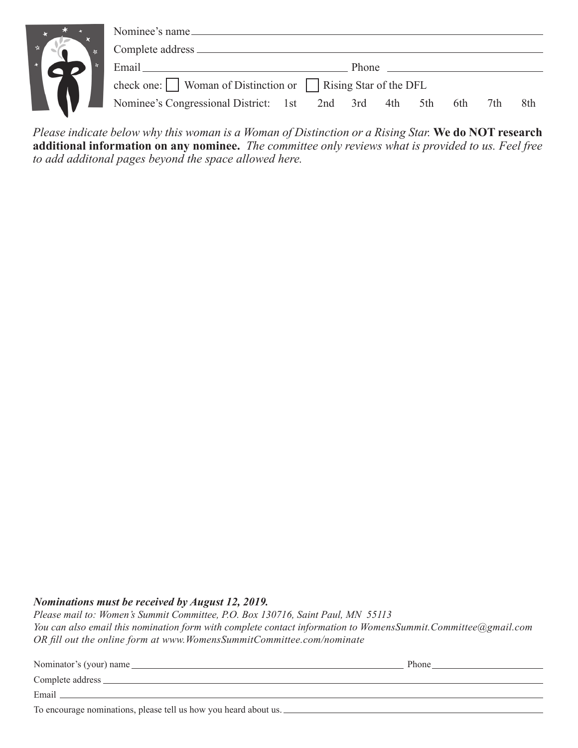| $\mathbf{x}$ | Nominee's name                                                                   |  |  |
|--------------|----------------------------------------------------------------------------------|--|--|
|              | Complete address _                                                               |  |  |
|              | Email<br><b>Phone</b>                                                            |  |  |
|              | check one: $\Box$ Woman of Distinction or $\Box$ Rising Star of the DFL          |  |  |
|              | Nominee's Congressional District: 1st 2nd 3rd<br>4th<br>6th<br>8th<br>5th<br>7th |  |  |

*Please indicate below why this woman is a Woman of Distinction or a Rising Star.* **We do NOT research additional information on any nominee.** *The committee only reviews what is provided to us. Feel free to add additonal pages beyond the space allowed here.*

### *Nominations must be received by August 12, 2019.*

*Please mail to: Women's Summit Committee, P.O. Box 130716, Saint Paul, MN 55113 You can also email this nomination form with complete contact information to WomensSummit.Committee@gmail.com OR fill out the online form at www.WomensSummitCommittee.com/nominate*

| Nominator's (your) name                                          | Phone |  |  |
|------------------------------------------------------------------|-------|--|--|
|                                                                  |       |  |  |
| Email                                                            |       |  |  |
| To encourage nominations, please tell us how you heard about us. |       |  |  |